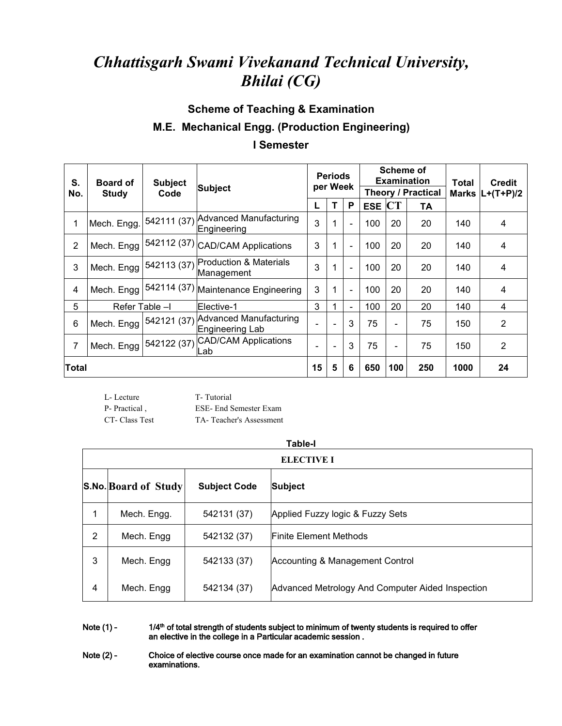# *Chhattisgarh Swami Vivekanand Technical University, Bhilai (CG)*

### **Scheme of Teaching & Examination**

# **M.E. Mechanical Engg. (Production Engineering)**

#### **I Semester**

| S.    | <b>Board of</b> | <b>Subject</b> | <b>Subject</b>                                                     | <b>Periods</b><br>per Week |                          | <b>Scheme of</b><br><b>Examination</b><br>Theory / Practical |            |           | Total | <b>Credit</b> |                     |  |
|-------|-----------------|----------------|--------------------------------------------------------------------|----------------------------|--------------------------|--------------------------------------------------------------|------------|-----------|-------|---------------|---------------------|--|
| No.   | <b>Study</b>    | Code           |                                                                    |                            |                          |                                                              |            |           |       |               | Marks $ L+(T+P)/2 $ |  |
|       |                 |                |                                                                    |                            | T                        | P                                                            | <b>ESE</b> | <b>CT</b> | TA    |               |                     |  |
|       | Mech. Engg.     |                | 542111 (37) Advanced Manufacturing<br> Engineering                 | 3                          | 4                        |                                                              | 100        | 20        | 20    | 140           | 4                   |  |
| 2     |                 |                | Mech. Engg $ 542112(37) $ CAD/CAM Applications                     | 3                          | 1                        | $\blacksquare$                                               | 100        | 20        | 20    | 140           | 4                   |  |
| 3     |                 |                | Mech. Engg 542113 (37) Production & Materials<br>Management        | 3                          |                          | $\overline{\phantom{0}}$                                     | 100        | 20        | 20    | 140           | 4                   |  |
| 4     |                 |                | Mech. Engg $ 542114(37) $ Maintenance Engineering                  | 3                          | 1                        |                                                              | 100        | 20        | 20    | 140           | 4                   |  |
| 5     |                 | Refer Table -I | Elective-1                                                         | 3                          |                          |                                                              | 100        | 20        | 20    | 140           | 4                   |  |
| 6     |                 |                | Mech. Engg   542121 (37) Advanced Manufacturing<br>Engineering Lab | $\overline{a}$             | $\blacksquare$           | 3                                                            | 75         |           | 75    | 150           | $\overline{2}$      |  |
|       |                 |                | Mech. Engg 542122 (37) CAD/CAM Applications<br>Lab.                | ÷                          | $\overline{\phantom{a}}$ | 3                                                            | 75         |           | 75    | 150           | $\overline{2}$      |  |
| Total |                 |                |                                                                    | 15                         | 5                        | 6                                                            | 650        | 100       | 250   | 1000          | 24                  |  |

L- Lecture T- Tutorial P- Practical, ESE- End Semester Exam CT- Class Test TA- Teacher's Assessment

|                |                             |                     | <b>Table-I</b><br><b>ELECTIVE I</b>              |
|----------------|-----------------------------|---------------------|--------------------------------------------------|
|                |                             |                     |                                                  |
|                | <b>S.No. Board of Study</b> | <b>Subject Code</b> | Subject                                          |
|                | Mech. Engg.                 | 542131 (37)         | Applied Fuzzy logic & Fuzzy Sets                 |
| $\overline{2}$ | Mech. Engg                  | 542132 (37)         | <b>Finite Element Methods</b>                    |
| 3              | Mech. Engg                  | 542133 (37)         | Accounting & Management Control                  |
| 4              | Mech. Engg                  | 542134 (37)         | Advanced Metrology And Computer Aided Inspection |

Note (1) - 1/4<sup>th</sup> of total strength of students subject to minimum of twenty students is required to offer an elective in the college in a Particular academic session .

Note (2) - Choice of elective course once made for an examination cannot be changed in future examinations.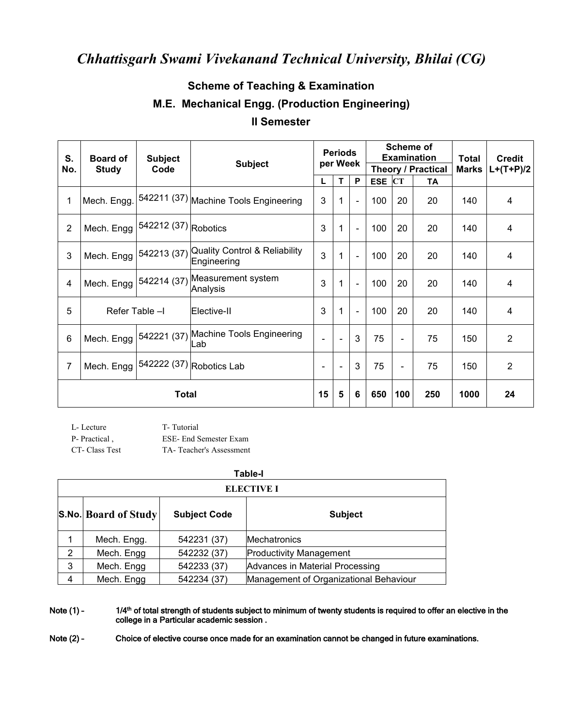## *Chhattisgarh Swami Vivekanand Technical University, Bhilai (CG)*

## **Scheme of Teaching & Examination M.E. Mechanical Engg. (Production Engineering) II Semester**

| S.                  | <b>Board of</b>          | <b>Subject</b>       | <b>Subject</b>                                           | <b>Periods</b> |                |                          | <b>Scheme of</b>          | <b>Examination</b> | <b>Total</b> | <b>Credit</b> |                |  |
|---------------------|--------------------------|----------------------|----------------------------------------------------------|----------------|----------------|--------------------------|---------------------------|--------------------|--------------|---------------|----------------|--|
| No.                 | <b>Study</b>             | Code                 |                                                          | per Week       |                |                          | <b>Theory / Practical</b> |                    |              | <b>Marks</b>  | $L+(T+P)/2$    |  |
|                     |                          |                      |                                                          |                | T              | P                        | $ESE$ $CT$                |                    | TA           |               |                |  |
| 1                   | Mech. Engg.              |                      | 542211 (37) Machine Tools Engineering                    | 3              | 1              | $\blacksquare$           | 100                       | 20                 | 20           | 140           | $\overline{4}$ |  |
| $\overline{2}$      | Mech. Engg               | 542212 (37) Robotics |                                                          | 3              | $\mathbf 1$    | $\blacksquare$           | 100                       | 20                 | 20           | 140           | 4              |  |
| 3                   | Mech. Engg               |                      | 542213 (37) Quality Control & Reliability<br>Engineering | 3              | $\overline{1}$ | $\blacksquare$           | 100                       | 20                 | 20           | 140           | 4              |  |
| 4                   | Mech. Engg   542214 (37) |                      | Measurement system<br>Analysis                           | 3              | $\mathbf{1}$   | $\overline{\phantom{a}}$ | 100                       | 20                 | 20           | 140           | 4              |  |
| 5<br>Refer Table -I |                          |                      | Elective-II                                              | 3              | $\mathbf{1}$   | $\blacksquare$           | 100                       | 20                 | 20           | 140           | 4              |  |
| 6                   | Mech. Engg               |                      | 542221 (37) Machine Tools Engineering<br>Lab             |                | $\overline{a}$ | 3                        | 75                        | $\blacksquare$     | 75           | 150           | $\overline{2}$ |  |
| $\overline{7}$      | Mech. Engg               |                      | 542222 (37) Robotics Lab                                 | $\blacksquare$ | $\blacksquare$ | 3                        | 75                        | $\blacksquare$     | 75           | 150           | $\overline{2}$ |  |
| <b>Total</b>        |                          |                      | 15                                                       | 5              | 6              | 650                      | 100                       | 250                | 1000         | 24            |                |  |

| L- Lecture     | T-Tutorial              |
|----------------|-------------------------|
| P- Practical.  | ESE- End Semester Exam  |
| CT- Class Test | TA-Teacher's Assessment |

|                      |                       |                     | <b>Table-I</b>                         |
|----------------------|-----------------------|---------------------|----------------------------------------|
|                      |                       |                     | <b>ELECTIVE I</b>                      |
|                      | S.No.  Board of Study | <b>Subject Code</b> | <b>Subject</b>                         |
|                      | Mech. Engg.           | 542231 (37)         | Mechatronics                           |
| $\mathbf{2}^{\circ}$ | Mech. Engg            | 542232 (37)         | <b>Productivity Management</b>         |
| 3                    | Mech. Engg            | 542233 (37)         | Advances in Material Processing        |
| 4                    | Mech. Engg            | 542234 (37)         | Management of Organizational Behaviour |

Note (1) - 1/4<sup>th</sup> of total strength of students subject to minimum of twenty students is required to offer an elective in the college in a Particular academic session .

Note (2) - Choice of elective course once made for an examination cannot be changed in future examinations.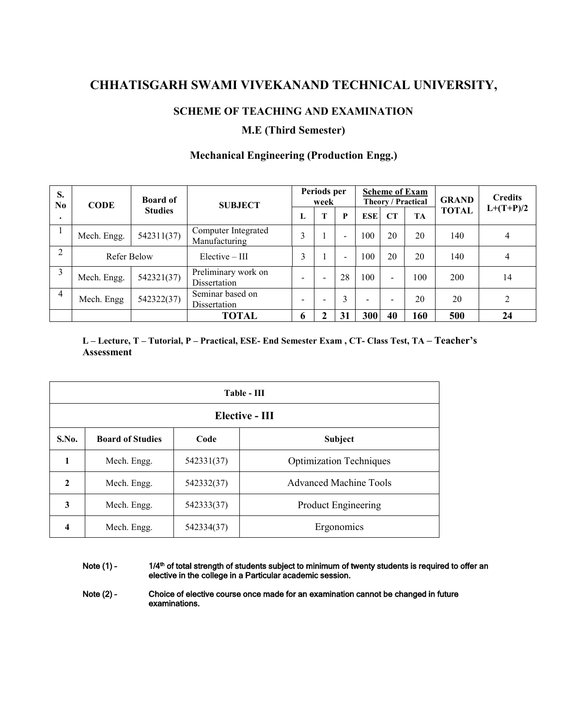## **CHHATISGARH SWAMI VIVEKANAND TECHNICAL UNIVERSITY,**

#### **SCHEME OF TEACHING AND EXAMINATION**

#### **M.E (Third Semester)**

| S.            | N <sub>0</sub><br><b>CODE</b> | <b>Board of</b><br><b>Studies</b> | <b>SUBJECT</b>                       | Periods per<br>week      |                          |                          | <b>Scheme of Exam</b><br>Theory / Practical |                          |           | <b>GRAND</b> | <b>Credits</b> |
|---------------|-------------------------------|-----------------------------------|--------------------------------------|--------------------------|--------------------------|--------------------------|---------------------------------------------|--------------------------|-----------|--------------|----------------|
|               |                               |                                   |                                      | L                        | T                        | P                        | <b>ESE</b>                                  | CT                       | <b>TA</b> | <b>TOTAL</b> | $L+(T+P)/2$    |
|               | Mech. Engg.                   | 542311(37)                        | Computer Integrated<br>Manufacturing | ◠                        |                          | -                        | 100                                         | 20                       | 20        | 140          | $\overline{4}$ |
| $\mathcal{L}$ | Refer Below                   |                                   | $Elective - III$                     | $\mathcal{L}$            |                          | $\overline{\phantom{0}}$ | 100                                         | 20                       | 20        | 140          | 4              |
|               | Mech. Engg.                   | 542321(37)                        | Preliminary work on<br>Dissertation  | $\overline{\phantom{0}}$ | $\overline{\phantom{a}}$ | 28                       | 100                                         | $\overline{\phantom{a}}$ | 00        | 200          | 14             |
| 4             | Mech. Engg                    | 542322(37)                        | Seminar based on<br>Dissertation     | $\overline{\phantom{0}}$ | $\overline{\phantom{0}}$ | $\mathbf{3}$             | $\overline{\phantom{0}}$                    |                          | 20        | 20           | 2              |
|               |                               |                                   | <b>TOTAL</b>                         | $\mathbf b$              | $\mathbf{2}$             | 31                       | 300                                         | 40                       | 160       | 500          | 24             |

#### **Mechanical Engineering (Production Engg.)**

L-Lecture, T-Tutorial, P-Practical, ESE-End Semester Exam, CT-Class Test, TA-Teacher's **Assessment**

|                |                         |            | $Table - III$                  |
|----------------|-------------------------|------------|--------------------------------|
|                |                         |            | Elective - III                 |
| S.No.          | <b>Board of Studies</b> | Code       | Subject                        |
| 1              | Mech. Engg.             | 542331(37) | <b>Optimization Techniques</b> |
| $\overline{2}$ | Mech. Engg.             | 542332(37) | <b>Advanced Machine Tools</b>  |
| 3              | Mech. Engg.             | 542333(37) | <b>Product Engineering</b>     |
| 4              | Mech. Engg.             | 542334(37) | Ergonomics                     |

Note (1) - 1/4<sup>th</sup> of total strength of students subject to minimum of twenty students is required to offer an elective in the college in a Particular academic session.

Note (2) - Choice of elective course once made for an examination cannot be changed in future examinations.